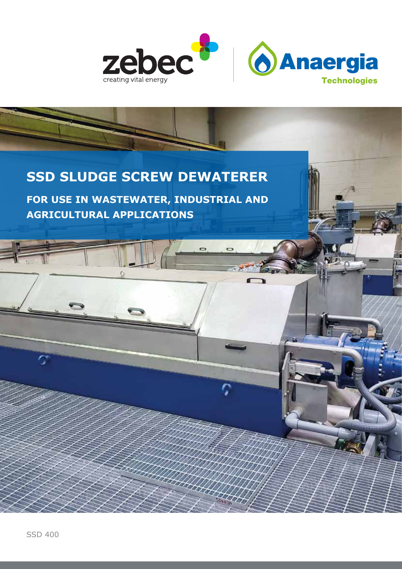

 $\overline{ }$ 

### **SSD SLUDGE SCREW DEWATERER**

**FOR USE IN WASTEWATER, INDUSTRIAL AND AGRICULTURAL APPLICATIONS**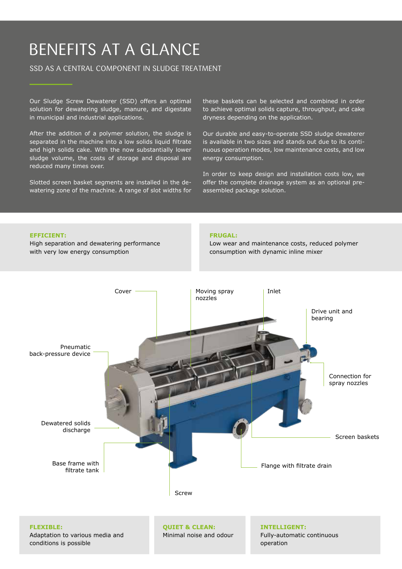## BENEFITS AT A GLANCE

### SSD AS A CENTRAL COMPONENT IN SLUDGE TREATMENT

Our Sludge Screw Dewaterer (SSD) offers an optimal solution for dewatering sludge, manure, and digestate in municipal and industrial applications.

After the addition of a polymer solution, the sludge is separated in the machine into a low solids liquid filtrate and high solids cake. With the now substantially lower sludge volume, the costs of storage and disposal are reduced many times over.

Slotted screen basket segments are installed in the dewatering zone of the machine. A range of slot widths for these baskets can be selected and combined in order to achieve optimal solids capture, throughput, and cake dryness depending on the application.

Our durable and easy-to-operate SSD sludge dewaterer is available in two sizes and stands out due to its continuous operation modes, low maintenance costs, and low energy consumption.

In order to keep design and installation costs low, we offer the complete drainage system as an optional preassembled package solution.

#### **EFFICIENT:**

High separation and dewatering performance with very low energy consumption

#### **FRUGAL:**

Low wear and maintenance costs, reduced polymer consumption with dynamic inline mixer

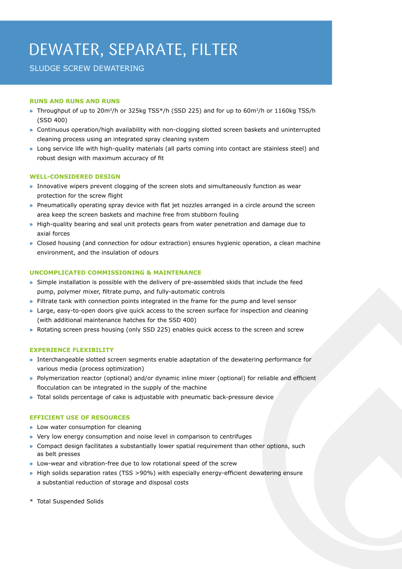# DEWATER, SEPARATE, FILTER

### SLUDGE SCREW DEWATERING

#### **RUNS AND RUNS AND RUNS**

- **»** Throughput of up to 20m3/h or 325kg TSS\*/h (SSD 225) and for up to 60m3/h or 1160kg TSS/h (SSD 400)
- **»** Continuous operation/high availability with non-clogging slotted screen baskets and uninterrupted cleaning process using an integrated spray cleaning system
- **»** Long service life with high-quality materials (all parts coming into contact are stainless steel) and robust design with maximum accuracy of fit

#### **WELL-CONSIDERED DESIGN**

- **»** Innovative wipers prevent clogging of the screen slots and simultaneously function as wear protection for the screw flight
- » Pneumatically operating spray device with flat jet nozzles arranged in a circle around the screen area keep the screen baskets and machine free from stubborn fouling
- **»** High-quality bearing and seal unit protects gears from water penetration and damage due to axial forces
- **»** Closed housing (and connection for odour extraction) ensures hygienic operation, a clean machine environment, and the insulation of odours

#### **UNCOMPLICATED COMMISSIONING & MAINTENANCE**

- **»** Simple installation is possible with the delivery of pre-assembled skids that include the feed pump, polymer mixer, filtrate pump, and fully-automatic controls
- **»** Filtrate tank with connection points integrated in the frame for the pump and level sensor
- **»** Large, easy-to-open doors give quick access to the screen surface for inspection and cleaning (with additional maintenance hatches for the SSD 400)
- **»** Rotating screen press housing (only SSD 225) enables quick access to the screen and screw

#### **EXPERIENCE FLEXIBILITY**

- **»** Interchangeable slotted screen segments enable adaptation of the dewatering performance for various media (process optimization)
- » Polymerization reactor (optional) and/or dynamic inline mixer (optional) for reliable and efficient flocculation can be integrated in the supply of the machine
- » Total solids percentage of cake is adjustable with pneumatic back-pressure device

#### **EFFICIENT USE OF RESOURCES**

- **»** Low water consumption for cleaning
- **»** Very low energy consumption and noise level in comparison to centrifuges
- **»** Compact design facilitates a substantially lower spatial requirement than other options, such as belt presses
- **»** Low-wear and vibration-free due to low rotational speed of the screw
- » High solids separation rates (TSS >90%) with especially energy-efficient dewatering ensure a substantial reduction of storage and disposal costs
- \* Total Suspended Solids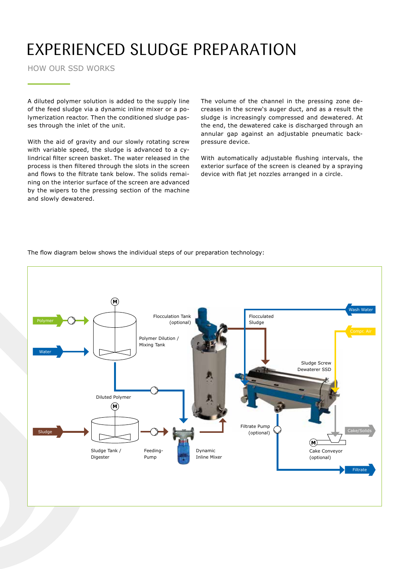# EXPERIENCED SLUDGE PREPARATION

HOW OUR SSD WORKS

A diluted polymer solution is added to the supply line of the feed sludge via a dynamic inline mixer or a polymerization reactor. Then the conditioned sludge passes through the inlet of the unit.

With the aid of gravity and our slowly rotating screw with variable speed, the sludge is advanced to a cylindrical filter screen basket. The water released in the process is then filtered through the slots in the screen and flows to the filtrate tank below. The solids remaining on the interior surface of the screen are advanced by the wipers to the pressing section of the machine and slowly dewatered.

The volume of the channel in the pressing zone decreases in the screw's auger duct, and as a result the sludge is increasingly compressed and dewatered. At the end, the dewatered cake is discharged through an annular gap against an adjustable pneumatic backpressure device.

With automatically adjustable flushing intervals, the exterior surface of the screen is cleaned by a spraying device with flat jet nozzles arranged in a circle.



The flow diagram below shows the individual steps of our preparation technology: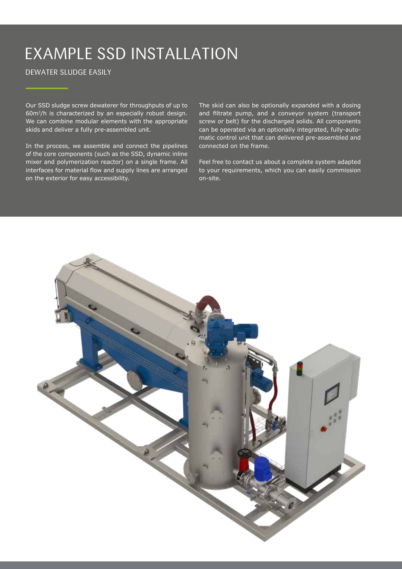# EXAMPLE SSD INSTALLATION

### DEWATER SLUDGE EASILY

Our SSD sludge screw dewaterer for throughputs of up to 60m3/h is characterized by an especially robust design. We can combine modular elements with the appropriate skids and deliver a fully pre-assembled unit.

In the process, we assemble and connect the pipelines of the core components (such as the SSD, dynamic inline mixer and polymerization reactor) on a single frame. All interfaces for material flow and supply lines are arranged on the exterior for easy accessibility.

The skid can also be optionally expanded with a dosing and filtrate pump, and a conveyor system (transport screw or belt) for the discharged solids. All components can be operated via an optionally integrated, fully-automatic control unit that can delivered pre-assembled and connected on the frame.

Feel free to contact us about a complete system adapted to your requirements, which you can easily commission on-site.